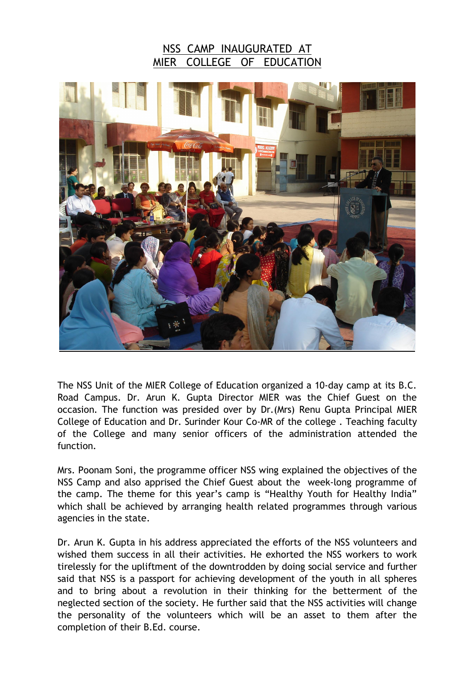## NSS CAMP INAUGURATED AT MIER COLLEGE OF EDUCATION



The NSS Unit of the MIER College of Education organized a 10-day camp at its B.C. Road Campus. Dr. Arun K. Gupta Director MIER was the Chief Guest on the occasion. The function was presided over by Dr.(Mrs) Renu Gupta Principal MIER College of Education and Dr. Surinder Kour Co-MR of the college . Teaching faculty of the College and many senior officers of the administration attended the function.

Mrs. Poonam Soni, the programme officer NSS wing explained the objectives of the NSS Camp and also apprised the Chief Guest about the week-long programme of the camp. The theme for this year's camp is "Healthy Youth for Healthy India" which shall be achieved by arranging health related programmes through various agencies in the state.

Dr. Arun K. Gupta in his address appreciated the efforts of the NSS volunteers and wished them success in all their activities. He exhorted the NSS workers to work tirelessly for the upliftment of the downtrodden by doing social service and further said that NSS is a passport for achieving development of the youth in all spheres and to bring about a revolution in their thinking for the betterment of the neglected section of the society. He further said that the NSS activities will change the personality of the volunteers which will be an asset to them after the completion of their B.Ed. course.